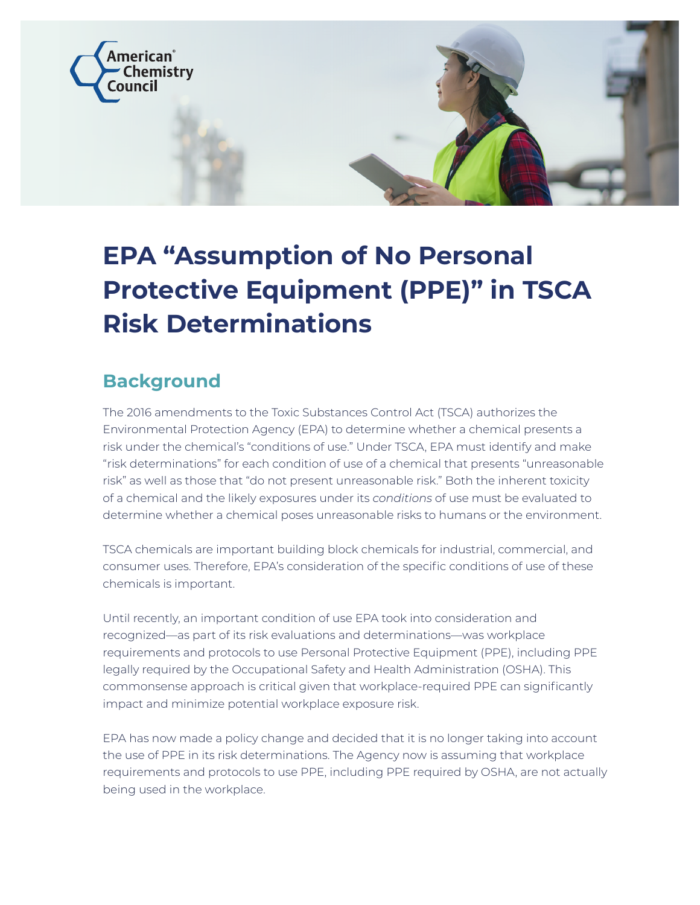

# **EPA "Assumption of No Personal Protective Equipment (PPE)" in TSCA Risk Determinations**

## **Background**

The 2016 amendments to the Toxic Substances Control Act (TSCA) authorizes the Environmental Protection Agency (EPA) to determine whether a chemical presents a risk under the chemical's "conditions of use." Under TSCA, EPA must identify and make "risk determinations" for each condition of use of a chemical that presents "unreasonable risk" as well as those that "do not present unreasonable risk." Both the inherent toxicity of a chemical and the likely exposures under its *conditions* of use must be evaluated to determine whether a chemical poses unreasonable risks to humans or the environment.

TSCA chemicals are important building block chemicals for industrial, commercial, and consumer uses. Therefore, EPA's consideration of the specific conditions of use of these chemicals is important.

Until recently, an important condition of use EPA took into consideration and recognized—as part of its risk evaluations and determinations—was workplace requirements and protocols to use Personal Protective Equipment (PPE), including PPE legally required by the Occupational Safety and Health Administration (OSHA). This commonsense approach is critical given that workplace-required PPE can significantly impact and minimize potential workplace exposure risk.

EPA has now made a policy change and decided that it is no longer taking into account the use of PPE in its risk determinations. The Agency now is assuming that workplace requirements and protocols to use PPE, including PPE required by OSHA, are not actually being used in the workplace.